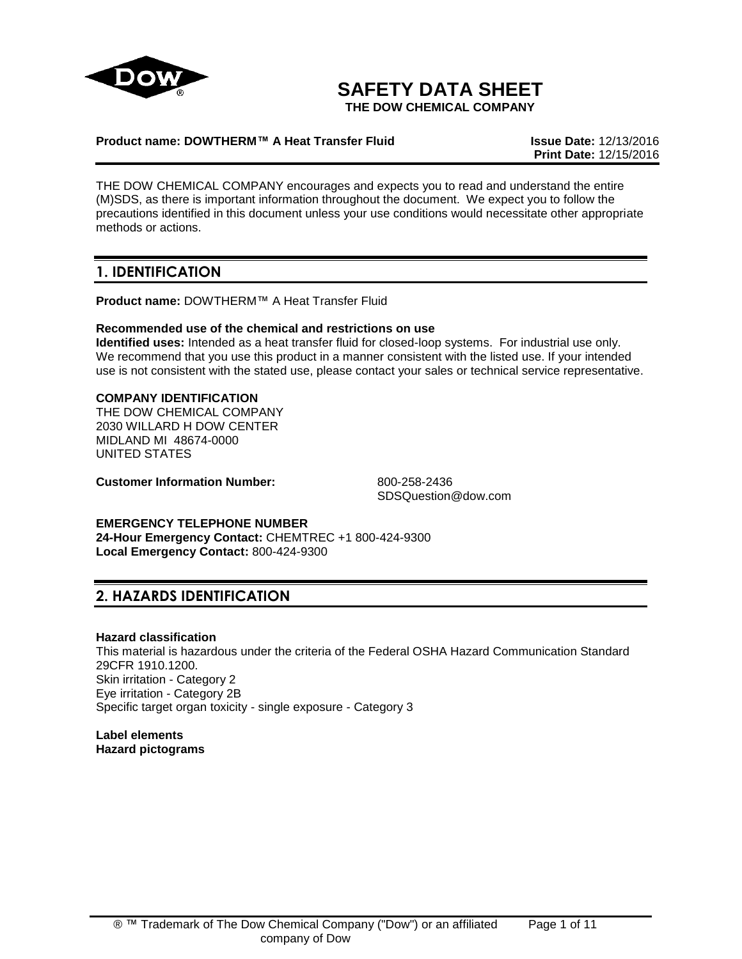

# **SAFETY DATA SHEET**

**THE DOW CHEMICAL COMPANY**

# **Product name: DOWTHERM™ A Heat Transfer Fluid Issue Date:** 12/13/2016

**Print Date:** 12/15/2016

THE DOW CHEMICAL COMPANY encourages and expects you to read and understand the entire (M)SDS, as there is important information throughout the document. We expect you to follow the precautions identified in this document unless your use conditions would necessitate other appropriate methods or actions.

# **1. IDENTIFICATION**

**Product name:** DOWTHERM™ A Heat Transfer Fluid

# **Recommended use of the chemical and restrictions on use**

**Identified uses:** Intended as a heat transfer fluid for closed-loop systems. For industrial use only. We recommend that you use this product in a manner consistent with the listed use. If your intended use is not consistent with the stated use, please contact your sales or technical service representative.

# **COMPANY IDENTIFICATION**

THE DOW CHEMICAL COMPANY 2030 WILLARD H DOW CENTER MIDLAND MI 48674-0000 UNITED STATES

**Customer Information Number:** 800-258-2436

SDSQuestion@dow.com

**EMERGENCY TELEPHONE NUMBER 24-Hour Emergency Contact:** CHEMTREC +1 800-424-9300 **Local Emergency Contact:** 800-424-9300

# **2. HAZARDS IDENTIFICATION**

# **Hazard classification**

This material is hazardous under the criteria of the Federal OSHA Hazard Communication Standard 29CFR 1910.1200. Skin irritation - Category 2 Eye irritation - Category 2B Specific target organ toxicity - single exposure - Category 3

**Label elements Hazard pictograms**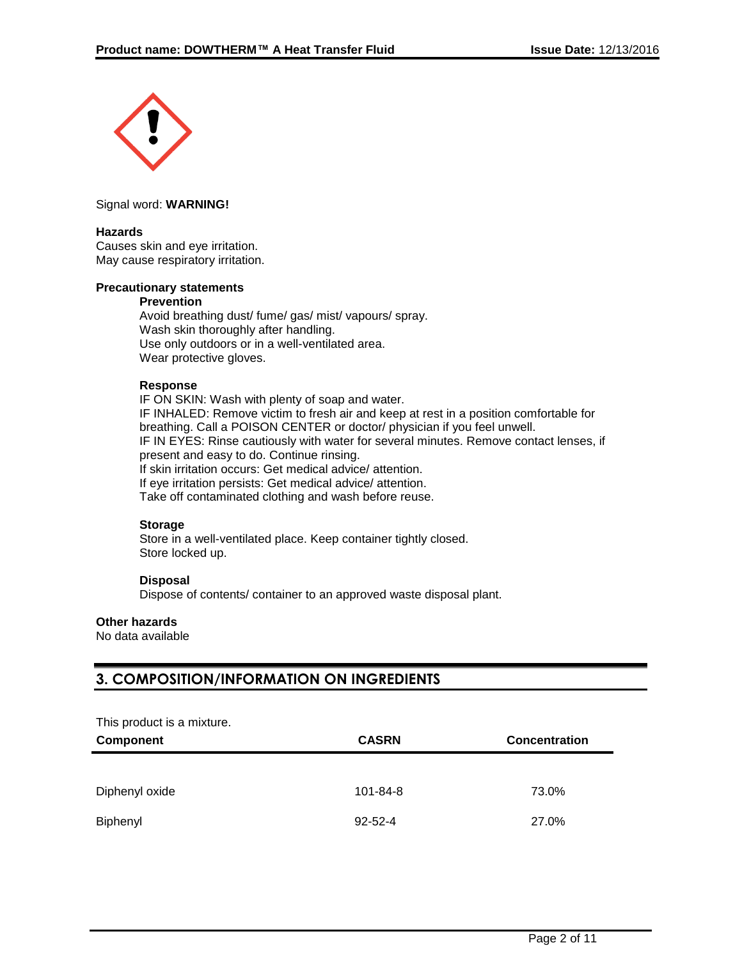

#### Signal word: **WARNING!**

#### **Hazards**

Causes skin and eye irritation. May cause respiratory irritation.

#### **Precautionary statements**

#### **Prevention**

Avoid breathing dust/ fume/ gas/ mist/ vapours/ spray. Wash skin thoroughly after handling. Use only outdoors or in a well-ventilated area. Wear protective gloves.

#### **Response**

IF ON SKIN: Wash with plenty of soap and water. IF INHALED: Remove victim to fresh air and keep at rest in a position comfortable for breathing. Call a POISON CENTER or doctor/ physician if you feel unwell. IF IN EYES: Rinse cautiously with water for several minutes. Remove contact lenses, if present and easy to do. Continue rinsing. If skin irritation occurs: Get medical advice/ attention. If eye irritation persists: Get medical advice/ attention. Take off contaminated clothing and wash before reuse.

#### **Storage**

Store in a well-ventilated place. Keep container tightly closed. Store locked up.

# **Disposal**

Dispose of contents/ container to an approved waste disposal plant.

# **Other hazards**

No data available

# **3. COMPOSITION/INFORMATION ON INGREDIENTS**

| This product is a mixture. |                |                      |  |
|----------------------------|----------------|----------------------|--|
| <b>Component</b>           | <b>CASRN</b>   | <b>Concentration</b> |  |
|                            |                |                      |  |
| Diphenyl oxide             | $101 - 84 - 8$ | 73.0%                |  |
| Biphenyl                   | $92 - 52 - 4$  | 27.0%                |  |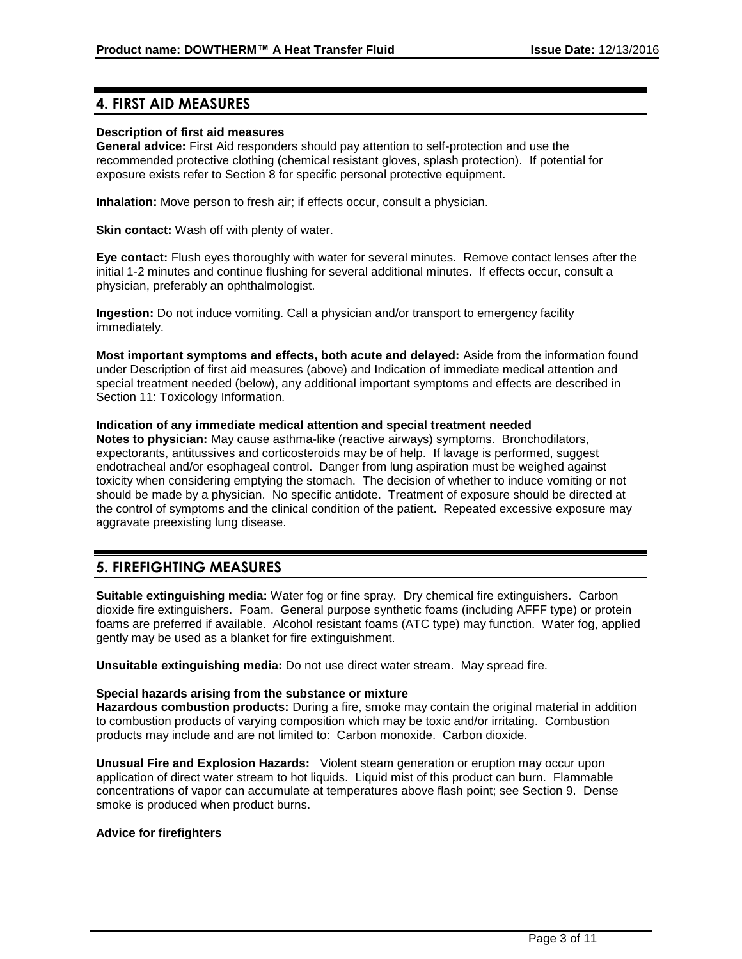# **4. FIRST AID MEASURES**

# **Description of first aid measures**

**General advice:** First Aid responders should pay attention to self-protection and use the recommended protective clothing (chemical resistant gloves, splash protection). If potential for exposure exists refer to Section 8 for specific personal protective equipment.

**Inhalation:** Move person to fresh air; if effects occur, consult a physician.

**Skin contact:** Wash off with plenty of water.

**Eye contact:** Flush eyes thoroughly with water for several minutes. Remove contact lenses after the initial 1-2 minutes and continue flushing for several additional minutes. If effects occur, consult a physician, preferably an ophthalmologist.

**Ingestion:** Do not induce vomiting. Call a physician and/or transport to emergency facility immediately.

**Most important symptoms and effects, both acute and delayed:** Aside from the information found under Description of first aid measures (above) and Indication of immediate medical attention and special treatment needed (below), any additional important symptoms and effects are described in Section 11: Toxicology Information.

#### **Indication of any immediate medical attention and special treatment needed**

**Notes to physician:** May cause asthma-like (reactive airways) symptoms. Bronchodilators, expectorants, antitussives and corticosteroids may be of help. If lavage is performed, suggest endotracheal and/or esophageal control. Danger from lung aspiration must be weighed against toxicity when considering emptying the stomach. The decision of whether to induce vomiting or not should be made by a physician. No specific antidote. Treatment of exposure should be directed at the control of symptoms and the clinical condition of the patient. Repeated excessive exposure may aggravate preexisting lung disease.

# **5. FIREFIGHTING MEASURES**

**Suitable extinguishing media:** Water fog or fine spray. Dry chemical fire extinguishers. Carbon dioxide fire extinguishers. Foam. General purpose synthetic foams (including AFFF type) or protein foams are preferred if available. Alcohol resistant foams (ATC type) may function. Water fog, applied gently may be used as a blanket for fire extinguishment.

**Unsuitable extinguishing media:** Do not use direct water stream. May spread fire.

# **Special hazards arising from the substance or mixture**

**Hazardous combustion products:** During a fire, smoke may contain the original material in addition to combustion products of varying composition which may be toxic and/or irritating. Combustion products may include and are not limited to: Carbon monoxide. Carbon dioxide.

**Unusual Fire and Explosion Hazards:** Violent steam generation or eruption may occur upon application of direct water stream to hot liquids. Liquid mist of this product can burn. Flammable concentrations of vapor can accumulate at temperatures above flash point; see Section 9. Dense smoke is produced when product burns.

# **Advice for firefighters**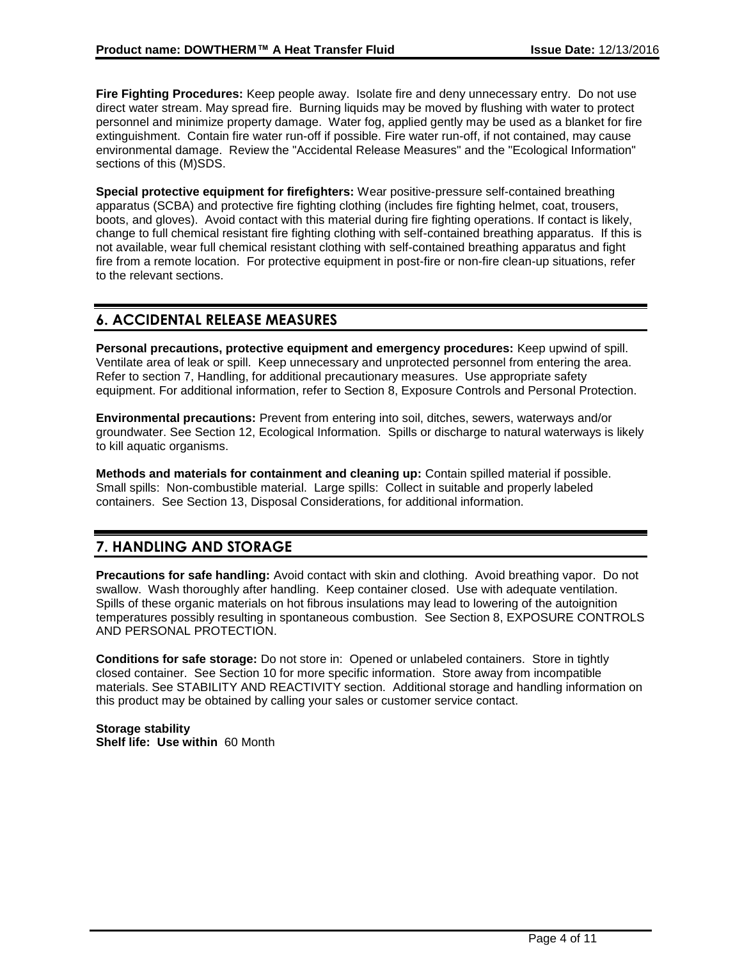**Fire Fighting Procedures:** Keep people away. Isolate fire and deny unnecessary entry. Do not use direct water stream. May spread fire. Burning liquids may be moved by flushing with water to protect personnel and minimize property damage. Water fog, applied gently may be used as a blanket for fire extinguishment. Contain fire water run-off if possible. Fire water run-off, if not contained, may cause environmental damage. Review the "Accidental Release Measures" and the "Ecological Information" sections of this (M)SDS.

**Special protective equipment for firefighters:** Wear positive-pressure self-contained breathing apparatus (SCBA) and protective fire fighting clothing (includes fire fighting helmet, coat, trousers, boots, and gloves). Avoid contact with this material during fire fighting operations. If contact is likely, change to full chemical resistant fire fighting clothing with self-contained breathing apparatus. If this is not available, wear full chemical resistant clothing with self-contained breathing apparatus and fight fire from a remote location. For protective equipment in post-fire or non-fire clean-up situations, refer to the relevant sections.

# **6. ACCIDENTAL RELEASE MEASURES**

**Personal precautions, protective equipment and emergency procedures:** Keep upwind of spill. Ventilate area of leak or spill. Keep unnecessary and unprotected personnel from entering the area. Refer to section 7, Handling, for additional precautionary measures. Use appropriate safety equipment. For additional information, refer to Section 8, Exposure Controls and Personal Protection.

**Environmental precautions:** Prevent from entering into soil, ditches, sewers, waterways and/or groundwater. See Section 12, Ecological Information. Spills or discharge to natural waterways is likely to kill aquatic organisms.

**Methods and materials for containment and cleaning up:** Contain spilled material if possible. Small spills: Non-combustible material. Large spills: Collect in suitable and properly labeled containers. See Section 13, Disposal Considerations, for additional information.

# **7. HANDLING AND STORAGE**

**Precautions for safe handling:** Avoid contact with skin and clothing. Avoid breathing vapor. Do not swallow. Wash thoroughly after handling. Keep container closed. Use with adequate ventilation. Spills of these organic materials on hot fibrous insulations may lead to lowering of the autoignition temperatures possibly resulting in spontaneous combustion. See Section 8, EXPOSURE CONTROLS AND PERSONAL PROTECTION.

**Conditions for safe storage:** Do not store in: Opened or unlabeled containers. Store in tightly closed container. See Section 10 for more specific information. Store away from incompatible materials. See STABILITY AND REACTIVITY section. Additional storage and handling information on this product may be obtained by calling your sales or customer service contact.

**Storage stability Shelf life: Use within** 60 Month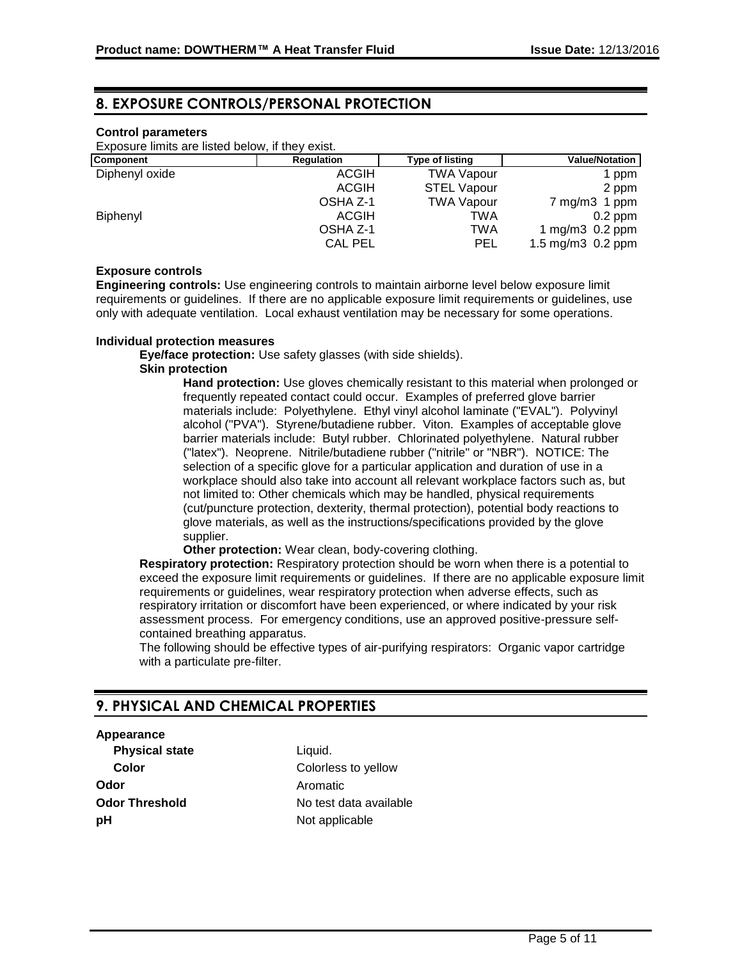# **8. EXPOSURE CONTROLS/PERSONAL PROTECTION**

# **Control parameters**

Exposure limits are listed below, if they exist.

| <b>Component</b> | <b>Regulation</b> | <b>Type of listing</b> | <b>Value/Notation</b>  |
|------------------|-------------------|------------------------|------------------------|
| Diphenyl oxide   | <b>ACGIH</b>      | <b>TWA Vapour</b>      | 1 ppm                  |
|                  | <b>ACGIH</b>      | <b>STEL Vapour</b>     | 2 ppm                  |
|                  | OSHA Z-1          | <b>TWA Vapour</b>      | $7 \text{ mg/m}$ 1 ppm |
| Biphenyl         | <b>ACGIH</b>      | TWA                    | $0.2$ ppm              |
|                  | OSHA Z-1          | TWA                    | 1 mg/m $3$ 0.2 ppm     |
|                  | <b>CAL PEL</b>    | PEL                    | 1.5 mg/m3 0.2 ppm      |

#### **Exposure controls**

**Engineering controls:** Use engineering controls to maintain airborne level below exposure limit requirements or guidelines. If there are no applicable exposure limit requirements or guidelines, use only with adequate ventilation. Local exhaust ventilation may be necessary for some operations.

#### **Individual protection measures**

**Eye/face protection:** Use safety glasses (with side shields).

#### **Skin protection**

**Hand protection:** Use gloves chemically resistant to this material when prolonged or frequently repeated contact could occur. Examples of preferred glove barrier materials include: Polyethylene. Ethyl vinyl alcohol laminate ("EVAL"). Polyvinyl alcohol ("PVA"). Styrene/butadiene rubber. Viton. Examples of acceptable glove barrier materials include: Butyl rubber. Chlorinated polyethylene. Natural rubber ("latex"). Neoprene. Nitrile/butadiene rubber ("nitrile" or "NBR"). NOTICE: The selection of a specific glove for a particular application and duration of use in a workplace should also take into account all relevant workplace factors such as, but not limited to: Other chemicals which may be handled, physical requirements (cut/puncture protection, dexterity, thermal protection), potential body reactions to glove materials, as well as the instructions/specifications provided by the glove supplier.

**Other protection:** Wear clean, body-covering clothing.

**Respiratory protection:** Respiratory protection should be worn when there is a potential to exceed the exposure limit requirements or guidelines. If there are no applicable exposure limit requirements or guidelines, wear respiratory protection when adverse effects, such as respiratory irritation or discomfort have been experienced, or where indicated by your risk assessment process. For emergency conditions, use an approved positive-pressure selfcontained breathing apparatus.

The following should be effective types of air-purifying respirators: Organic vapor cartridge with a particulate pre-filter.

# **9. PHYSICAL AND CHEMICAL PROPERTIES**

#### **Appearance**

**Physical state** Liquid. **Odor** Aromatic **pH** Not applicable

**Color** Colorless to yellow **Odor Threshold** No test data available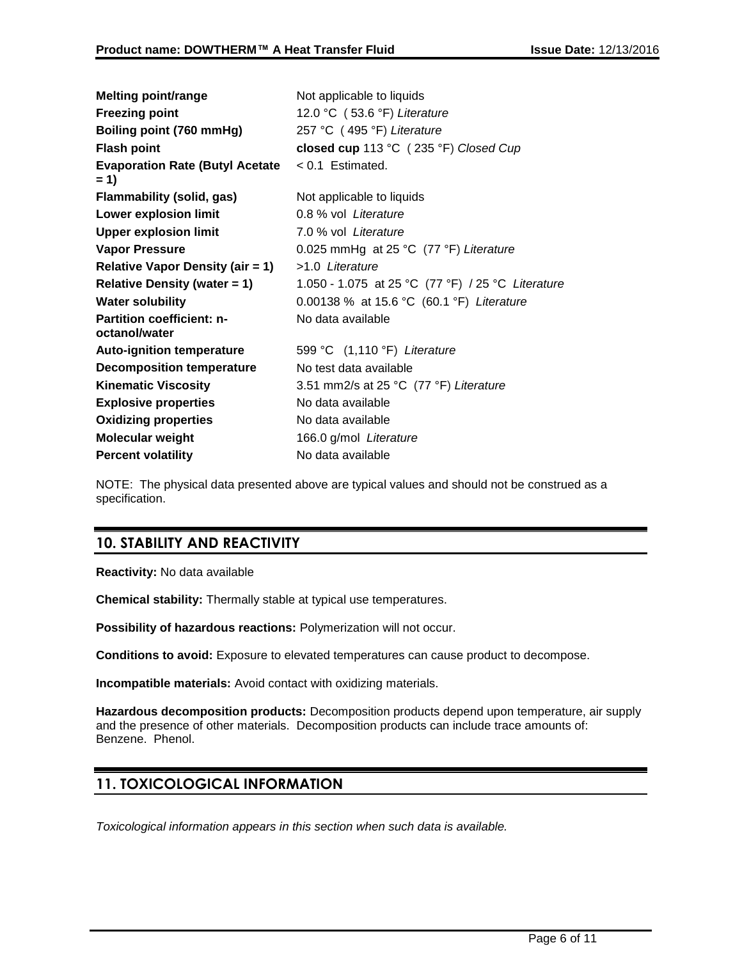| <b>Melting point/range</b>                        | Not applicable to liquids                         |
|---------------------------------------------------|---------------------------------------------------|
| <b>Freezing point</b>                             | 12.0 °C (53.6 °F) Literature                      |
| Boiling point (760 mmHg)                          | 257 °C (495 °F) Literature                        |
| <b>Flash point</b>                                | closed cup 113 °C (235 °F) Closed Cup             |
| <b>Evaporation Rate (Butyl Acetate</b><br>$= 1$   | $< 0.1$ Estimated.                                |
| <b>Flammability (solid, gas)</b>                  | Not applicable to liquids                         |
| <b>Lower explosion limit</b>                      | 0.8 % vol Literature                              |
| <b>Upper explosion limit</b>                      | 7.0 % vol Literature                              |
| <b>Vapor Pressure</b>                             | 0.025 mmHg at 25 $°C$ (77 $°F$ ) Literature       |
| <b>Relative Vapor Density (air = 1)</b>           | >1.0 Literature                                   |
| <b>Relative Density (water = 1)</b>               | 1.050 - 1.075 at 25 °C (77 °F) / 25 °C Literature |
| <b>Water solubility</b>                           | 0.00138 % at 15.6 °C (60.1 °F) Literature         |
| <b>Partition coefficient: n-</b><br>octanol/water | No data available                                 |
| <b>Auto-ignition temperature</b>                  | 599 °C (1,110 °F) Literature                      |
| <b>Decomposition temperature</b>                  | No test data available                            |
| <b>Kinematic Viscosity</b>                        | 3.51 mm2/s at 25 °C (77 °F) Literature            |
| <b>Explosive properties</b>                       | No data available                                 |
| <b>Oxidizing properties</b>                       | No data available                                 |
| <b>Molecular weight</b>                           | 166.0 g/mol Literature                            |
| <b>Percent volatility</b>                         | No data available                                 |

NOTE: The physical data presented above are typical values and should not be construed as a specification.

# **10. STABILITY AND REACTIVITY**

**Reactivity:** No data available

**Chemical stability:** Thermally stable at typical use temperatures.

**Possibility of hazardous reactions:** Polymerization will not occur.

**Conditions to avoid:** Exposure to elevated temperatures can cause product to decompose.

**Incompatible materials:** Avoid contact with oxidizing materials.

**Hazardous decomposition products:** Decomposition products depend upon temperature, air supply and the presence of other materials. Decomposition products can include trace amounts of: Benzene. Phenol.

# **11. TOXICOLOGICAL INFORMATION**

*Toxicological information appears in this section when such data is available.*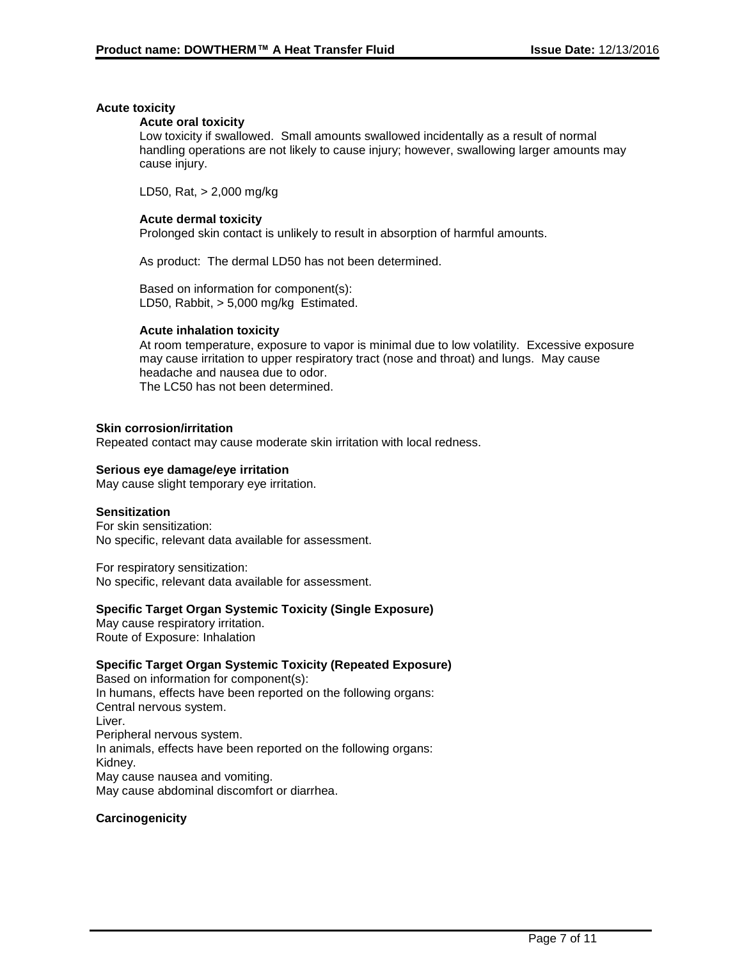# **Acute toxicity**

# **Acute oral toxicity**

Low toxicity if swallowed. Small amounts swallowed incidentally as a result of normal handling operations are not likely to cause injury; however, swallowing larger amounts may cause injury.

LD50, Rat, > 2,000 mg/kg

# **Acute dermal toxicity**

Prolonged skin contact is unlikely to result in absorption of harmful amounts.

As product: The dermal LD50 has not been determined.

Based on information for component(s): LD50, Rabbit, > 5,000 mg/kg Estimated.

# **Acute inhalation toxicity**

At room temperature, exposure to vapor is minimal due to low volatility. Excessive exposure may cause irritation to upper respiratory tract (nose and throat) and lungs. May cause headache and nausea due to odor. The LC50 has not been determined.

# **Skin corrosion/irritation**

Repeated contact may cause moderate skin irritation with local redness.

# **Serious eye damage/eye irritation**

May cause slight temporary eye irritation.

# **Sensitization**

For skin sensitization: No specific, relevant data available for assessment.

For respiratory sensitization: No specific, relevant data available for assessment.

# **Specific Target Organ Systemic Toxicity (Single Exposure)**

May cause respiratory irritation. Route of Exposure: Inhalation

# **Specific Target Organ Systemic Toxicity (Repeated Exposure)**

Based on information for component(s): In humans, effects have been reported on the following organs: Central nervous system. Liver. Peripheral nervous system. In animals, effects have been reported on the following organs: Kidney. May cause nausea and vomiting. May cause abdominal discomfort or diarrhea.

# **Carcinogenicity**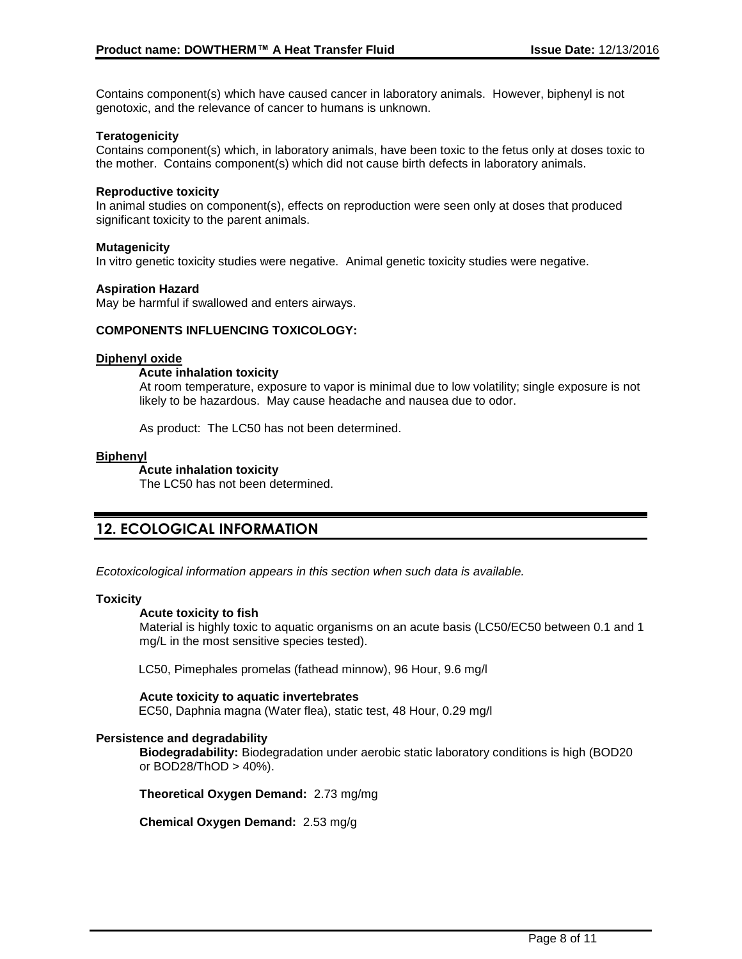Contains component(s) which have caused cancer in laboratory animals. However, biphenyl is not genotoxic, and the relevance of cancer to humans is unknown.

# **Teratogenicity**

Contains component(s) which, in laboratory animals, have been toxic to the fetus only at doses toxic to the mother. Contains component(s) which did not cause birth defects in laboratory animals.

# **Reproductive toxicity**

In animal studies on component(s), effects on reproduction were seen only at doses that produced significant toxicity to the parent animals.

# **Mutagenicity**

In vitro genetic toxicity studies were negative. Animal genetic toxicity studies were negative.

# **Aspiration Hazard**

May be harmful if swallowed and enters airways.

#### **COMPONENTS INFLUENCING TOXICOLOGY:**

#### **Diphenyl oxide**

# **Acute inhalation toxicity**

At room temperature, exposure to vapor is minimal due to low volatility; single exposure is not likely to be hazardous. May cause headache and nausea due to odor.

As product: The LC50 has not been determined.

#### **Biphenyl**

#### **Acute inhalation toxicity**

The LC50 has not been determined.

# **12. ECOLOGICAL INFORMATION**

*Ecotoxicological information appears in this section when such data is available.*

# **Toxicity**

#### **Acute toxicity to fish**

Material is highly toxic to aquatic organisms on an acute basis (LC50/EC50 between 0.1 and 1 mg/L in the most sensitive species tested).

LC50, Pimephales promelas (fathead minnow), 96 Hour, 9.6 mg/l

# **Acute toxicity to aquatic invertebrates**

EC50, Daphnia magna (Water flea), static test, 48 Hour, 0.29 mg/l

# **Persistence and degradability**

**Biodegradability:** Biodegradation under aerobic static laboratory conditions is high (BOD20 or BOD28/ThOD > 40%).

**Theoretical Oxygen Demand:** 2.73 mg/mg

**Chemical Oxygen Demand:** 2.53 mg/g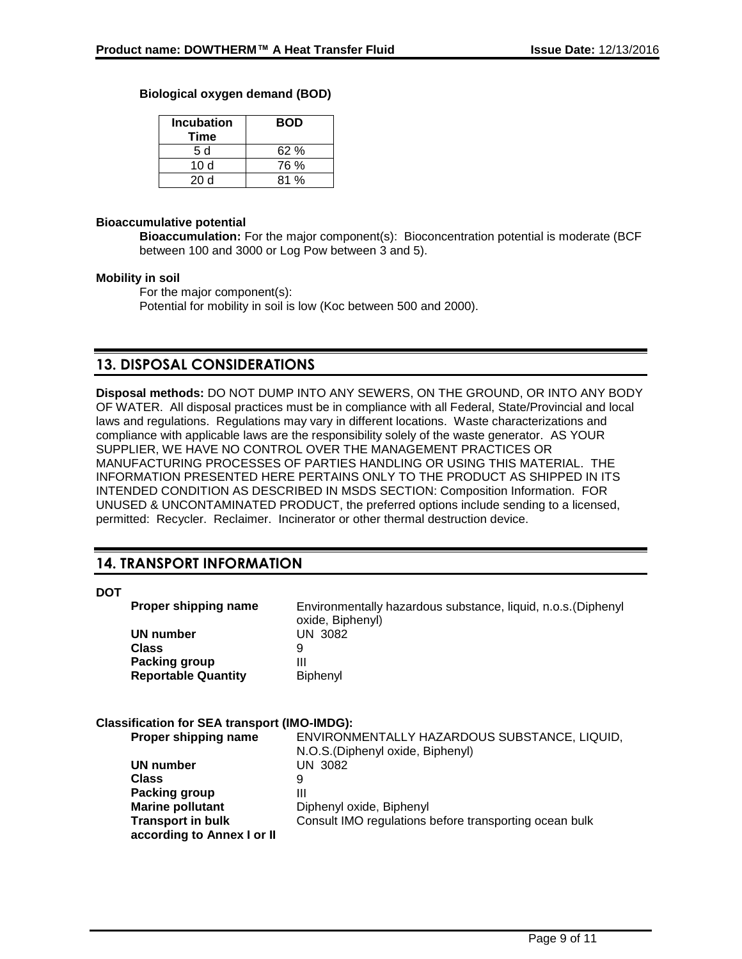# **Biological oxygen demand (BOD)**

| <b>Incubation</b><br>Time | <b>BOD</b> |
|---------------------------|------------|
| 5 d                       | 62%        |
| 10 d                      | 76 %       |
| 20d                       | ጸ1 %       |

# **Bioaccumulative potential**

**Bioaccumulation:** For the major component(s): Bioconcentration potential is moderate (BCF between 100 and 3000 or Log Pow between 3 and 5).

# **Mobility in soil**

For the major component(s): Potential for mobility in soil is low (Koc between 500 and 2000).

# **13. DISPOSAL CONSIDERATIONS**

**Disposal methods:** DO NOT DUMP INTO ANY SEWERS, ON THE GROUND, OR INTO ANY BODY OF WATER. All disposal practices must be in compliance with all Federal, State/Provincial and local laws and regulations. Regulations may vary in different locations. Waste characterizations and compliance with applicable laws are the responsibility solely of the waste generator. AS YOUR SUPPLIER, WE HAVE NO CONTROL OVER THE MANAGEMENT PRACTICES OR MANUFACTURING PROCESSES OF PARTIES HANDLING OR USING THIS MATERIAL. THE INFORMATION PRESENTED HERE PERTAINS ONLY TO THE PRODUCT AS SHIPPED IN ITS INTENDED CONDITION AS DESCRIBED IN MSDS SECTION: Composition Information. FOR UNUSED & UNCONTAMINATED PRODUCT, the preferred options include sending to a licensed, permitted: Recycler. Reclaimer. Incinerator or other thermal destruction device.

# **14. TRANSPORT INFORMATION**

# **DOT**

| <b>Proper shipping name</b> | Environmentally hazardous substance, liquid, n.o.s. (Diphenyl<br>oxide, Biphenyl) |
|-----------------------------|-----------------------------------------------------------------------------------|
| UN number                   | UN 3082                                                                           |
| Class                       |                                                                                   |
| Packing group               | Ш                                                                                 |
| <b>Reportable Quantity</b>  | <b>Biphenyl</b>                                                                   |

# **Classification for SEA transport (IMO-IMDG):**

| Proper shipping name       | ENVIRONMENTALLY HAZARDOUS SUBSTANCE, LIQUID,           |
|----------------------------|--------------------------------------------------------|
|                            | N.O.S. (Diphenyl oxide, Biphenyl)                      |
| UN number                  | UN 3082                                                |
| <b>Class</b>               | 9                                                      |
| Packing group              | Ш                                                      |
| <b>Marine pollutant</b>    | Diphenyl oxide, Biphenyl                               |
| <b>Transport in bulk</b>   | Consult IMO regulations before transporting ocean bulk |
| according to Annex I or II |                                                        |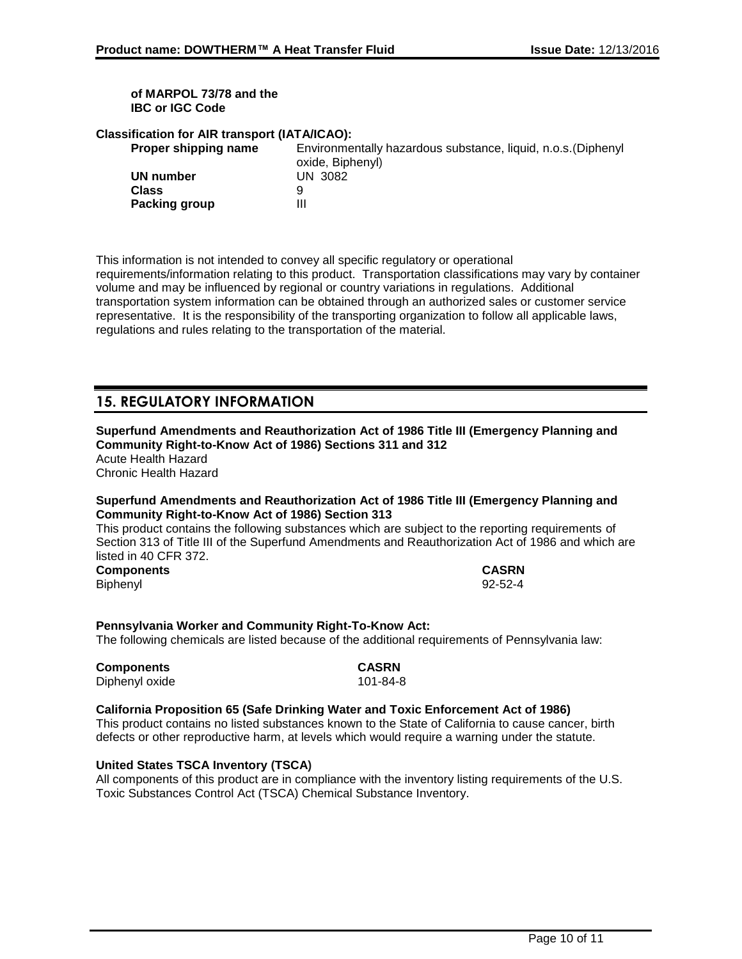# **of MARPOL 73/78 and the IBC or IGC Code**

# **Classification for AIR transport (IATA/ICAO):**

| Proper shipping name | Environmentally hazardous substance, liquid, n.o.s. (Diphenyl |
|----------------------|---------------------------------------------------------------|
|                      | oxide, Biphenyl)                                              |
| UN number            | UN 3082                                                       |
| Class                | Q                                                             |
| Packing group        | Ш                                                             |
|                      |                                                               |

This information is not intended to convey all specific regulatory or operational requirements/information relating to this product. Transportation classifications may vary by container volume and may be influenced by regional or country variations in regulations. Additional transportation system information can be obtained through an authorized sales or customer service representative. It is the responsibility of the transporting organization to follow all applicable laws, regulations and rules relating to the transportation of the material.

# **15. REGULATORY INFORMATION**

#### **Superfund Amendments and Reauthorization Act of 1986 Title III (Emergency Planning and Community Right-to-Know Act of 1986) Sections 311 and 312** Acute Health Hazard

Chronic Health Hazard

# **Superfund Amendments and Reauthorization Act of 1986 Title III (Emergency Planning and Community Right-to-Know Act of 1986) Section 313**

This product contains the following substances which are subject to the reporting requirements of Section 313 of Title III of the Superfund Amendments and Reauthorization Act of 1986 and which are listed in 40 CFR 372.

**Components CASRN** Biphenyl 92-52-4

# **Pennsylvania Worker and Community Right-To-Know Act:** The following chemicals are listed because of the additional requirements of Pennsylvania law:

**Components CASRN** Diphenyl oxide 101-84-8

# **California Proposition 65 (Safe Drinking Water and Toxic Enforcement Act of 1986)**

This product contains no listed substances known to the State of California to cause cancer, birth defects or other reproductive harm, at levels which would require a warning under the statute.

# **United States TSCA Inventory (TSCA)**

All components of this product are in compliance with the inventory listing requirements of the U.S. Toxic Substances Control Act (TSCA) Chemical Substance Inventory.